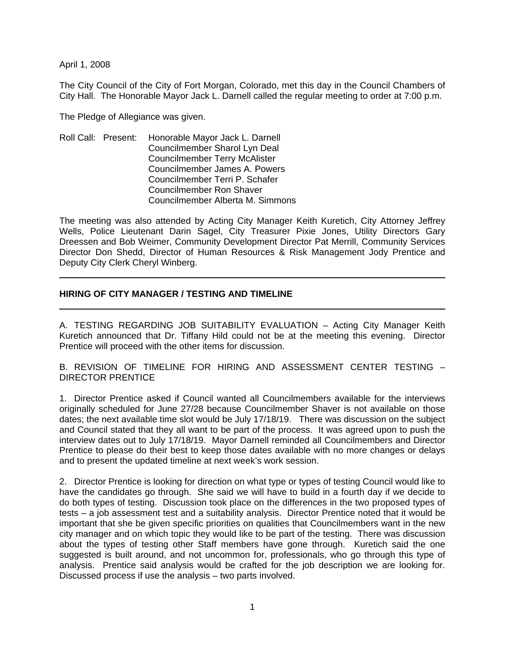April 1, 2008

The City Council of the City of Fort Morgan, Colorado, met this day in the Council Chambers of City Hall. The Honorable Mayor Jack L. Darnell called the regular meeting to order at 7:00 p.m.

The Pledge of Allegiance was given.

Roll Call: Present: Honorable Mayor Jack L. Darnell Councilmember Sharol Lyn Deal Councilmember Terry McAlister Councilmember James A. Powers Councilmember Terri P. Schafer Councilmember Ron Shaver Councilmember Alberta M. Simmons

The meeting was also attended by Acting City Manager Keith Kuretich, City Attorney Jeffrey Wells, Police Lieutenant Darin Sagel, City Treasurer Pixie Jones, Utility Directors Gary Dreessen and Bob Weimer, Community Development Director Pat Merrill, Community Services Director Don Shedd, Director of Human Resources & Risk Management Jody Prentice and Deputy City Clerk Cheryl Winberg.

# **HIRING OF CITY MANAGER / TESTING AND TIMELINE**

A. TESTING REGARDING JOB SUITABILITY EVALUATION – Acting City Manager Keith Kuretich announced that Dr. Tiffany Hild could not be at the meeting this evening. Director Prentice will proceed with the other items for discussion.

B. REVISION OF TIMELINE FOR HIRING AND ASSESSMENT CENTER TESTING – DIRECTOR PRENTICE

1. Director Prentice asked if Council wanted all Councilmembers available for the interviews originally scheduled for June 27/28 because Councilmember Shaver is not available on those dates; the next available time slot would be July 17/18/19. There was discussion on the subject and Council stated that they all want to be part of the process. It was agreed upon to push the interview dates out to July 17/18/19. Mayor Darnell reminded all Councilmembers and Director Prentice to please do their best to keep those dates available with no more changes or delays and to present the updated timeline at next week's work session.

2. Director Prentice is looking for direction on what type or types of testing Council would like to have the candidates go through. She said we will have to build in a fourth day if we decide to do both types of testing. Discussion took place on the differences in the two proposed types of tests – a job assessment test and a suitability analysis. Director Prentice noted that it would be important that she be given specific priorities on qualities that Councilmembers want in the new city manager and on which topic they would like to be part of the testing. There was discussion about the types of testing other Staff members have gone through. Kuretich said the one suggested is built around, and not uncommon for, professionals, who go through this type of analysis. Prentice said analysis would be crafted for the job description we are looking for. Discussed process if use the analysis – two parts involved.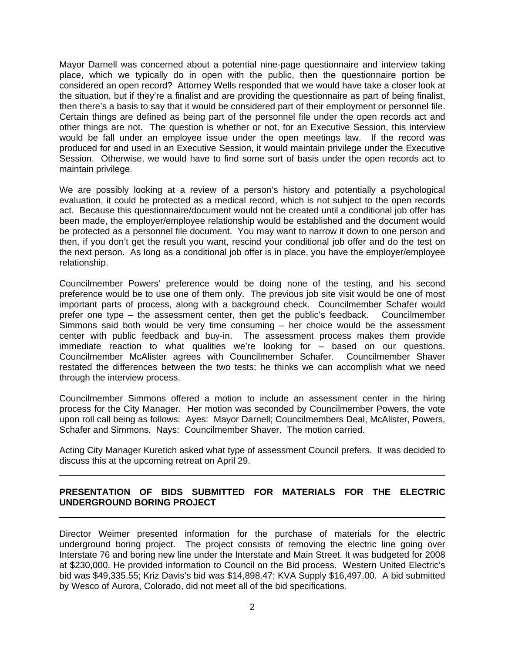Mayor Darnell was concerned about a potential nine-page questionnaire and interview taking place, which we typically do in open with the public, then the questionnaire portion be considered an open record? Attorney Wells responded that we would have take a closer look at the situation, but if they're a finalist and are providing the questionnaire as part of being finalist, then there's a basis to say that it would be considered part of their employment or personnel file. Certain things are defined as being part of the personnel file under the open records act and other things are not. The question is whether or not, for an Executive Session, this interview would be fall under an employee issue under the open meetings law. If the record was produced for and used in an Executive Session, it would maintain privilege under the Executive Session. Otherwise, we would have to find some sort of basis under the open records act to maintain privilege.

We are possibly looking at a review of a person's history and potentially a psychological evaluation, it could be protected as a medical record, which is not subject to the open records act. Because this questionnaire/document would not be created until a conditional job offer has been made, the employer/employee relationship would be established and the document would be protected as a personnel file document. You may want to narrow it down to one person and then, if you don't get the result you want, rescind your conditional job offer and do the test on the next person. As long as a conditional job offer is in place, you have the employer/employee relationship.

Councilmember Powers' preference would be doing none of the testing, and his second preference would be to use one of them only. The previous job site visit would be one of most important parts of process, along with a background check. Councilmember Schafer would prefer one type – the assessment center, then get the public's feedback. Councilmember Simmons said both would be very time consuming – her choice would be the assessment center with public feedback and buy-in. The assessment process makes them provide immediate reaction to what qualities we're looking for – based on our questions. Councilmember McAlister agrees with Councilmember Schafer. Councilmember Shaver restated the differences between the two tests; he thinks we can accomplish what we need through the interview process.

Councilmember Simmons offered a motion to include an assessment center in the hiring process for the City Manager. Her motion was seconded by Councilmember Powers, the vote upon roll call being as follows: Ayes: Mayor Darnell; Councilmembers Deal, McAlister, Powers, Schafer and Simmons. Nays: Councilmember Shaver. The motion carried.

Acting City Manager Kuretich asked what type of assessment Council prefers. It was decided to discuss this at the upcoming retreat on April 29.

# **PRESENTATION OF BIDS SUBMITTED FOR MATERIALS FOR THE ELECTRIC UNDERGROUND BORING PROJECT**

Director Weimer presented information for the purchase of materials for the electric underground boring project. The project consists of removing the electric line going over Interstate 76 and boring new line under the Interstate and Main Street. It was budgeted for 2008 at \$230,000. He provided information to Council on the Bid process. Western United Electric's bid was \$49,335.55; Kriz Davis's bid was \$14,898.47; KVA Supply \$16,497.00. A bid submitted by Wesco of Aurora, Colorado, did not meet all of the bid specifications.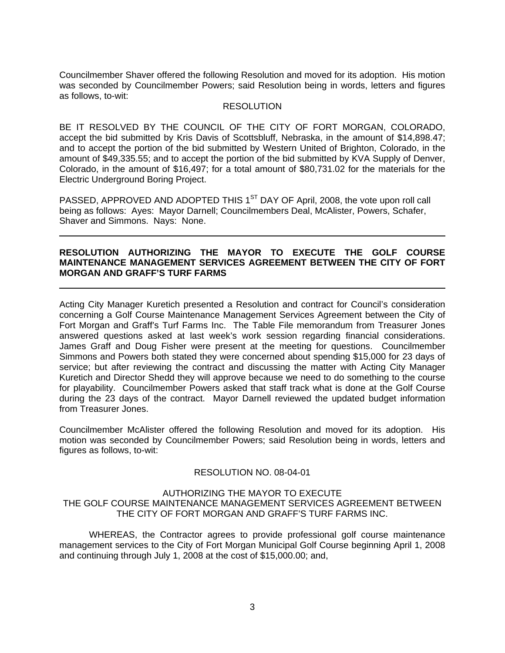Councilmember Shaver offered the following Resolution and moved for its adoption. His motion was seconded by Councilmember Powers; said Resolution being in words, letters and figures as follows, to-wit:

### **RESOLUTION**

BE IT RESOLVED BY THE COUNCIL OF THE CITY OF FORT MORGAN, COLORADO, accept the bid submitted by Kris Davis of Scottsbluff, Nebraska, in the amount of \$14,898.47; and to accept the portion of the bid submitted by Western United of Brighton, Colorado, in the amount of \$49,335.55; and to accept the portion of the bid submitted by KVA Supply of Denver, Colorado, in the amount of \$16,497; for a total amount of \$80,731.02 for the materials for the Electric Underground Boring Project.

PASSED, APPROVED AND ADOPTED THIS 1<sup>ST</sup> DAY OF April, 2008, the vote upon roll call being as follows: Ayes: Mayor Darnell; Councilmembers Deal, McAlister, Powers, Schafer, Shaver and Simmons. Nays: None.

### **RESOLUTION AUTHORIZING THE MAYOR TO EXECUTE THE GOLF COURSE MAINTENANCE MANAGEMENT SERVICES AGREEMENT BETWEEN THE CITY OF FORT MORGAN AND GRAFF'S TURF FARMS**

Acting City Manager Kuretich presented a Resolution and contract for Council's consideration concerning a Golf Course Maintenance Management Services Agreement between the City of Fort Morgan and Graff's Turf Farms Inc. The Table File memorandum from Treasurer Jones answered questions asked at last week's work session regarding financial considerations. James Graff and Doug Fisher were present at the meeting for questions. Councilmember Simmons and Powers both stated they were concerned about spending \$15,000 for 23 days of service; but after reviewing the contract and discussing the matter with Acting City Manager Kuretich and Director Shedd they will approve because we need to do something to the course for playability. Councilmember Powers asked that staff track what is done at the Golf Course during the 23 days of the contract. Mayor Darnell reviewed the updated budget information from Treasurer Jones.

Councilmember McAlister offered the following Resolution and moved for its adoption. His motion was seconded by Councilmember Powers; said Resolution being in words, letters and figures as follows, to-wit:

#### RESOLUTION NO. 08-04-01

#### AUTHORIZING THE MAYOR TO EXECUTE THE GOLF COURSE MAINTENANCE MANAGEMENT SERVICES AGREEMENT BETWEEN THE CITY OF FORT MORGAN AND GRAFF'S TURF FARMS INC.

WHEREAS, the Contractor agrees to provide professional golf course maintenance management services to the City of Fort Morgan Municipal Golf Course beginning April 1, 2008 and continuing through July 1, 2008 at the cost of \$15,000.00; and,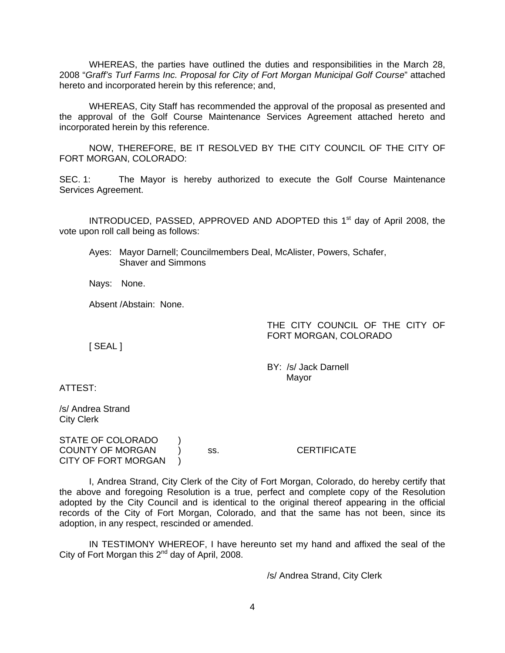WHEREAS, the parties have outlined the duties and responsibilities in the March 28, 2008 "*Graff's Turf Farms Inc. Proposal for City of Fort Morgan Municipal Golf Course*" attached hereto and incorporated herein by this reference; and,

WHEREAS, City Staff has recommended the approval of the proposal as presented and the approval of the Golf Course Maintenance Services Agreement attached hereto and incorporated herein by this reference.

NOW, THEREFORE, BE IT RESOLVED BY THE CITY COUNCIL OF THE CITY OF FORT MORGAN, COLORADO:

SEC. 1: The Mayor is hereby authorized to execute the Golf Course Maintenance Services Agreement.

INTRODUCED, PASSED, APPROVED AND ADOPTED this 1<sup>st</sup> day of April 2008, the vote upon roll call being as follows:

Ayes: Mayor Darnell; Councilmembers Deal, McAlister, Powers, Schafer, Shaver and Simmons

Nays: None.

Absent /Abstain: None.

THE CITY COUNCIL OF THE CITY OF FORT MORGAN, COLORADO

[ SEAL ]

 BY: /s/ Jack Darnell discussion of the control of the Mayor Mayor

ATTEST:

/s/ Andrea Strand City Clerk

STATE OF COLORADO ) COUNTY OF MORGAN ) ss. CERTIFICATE CITY OF FORT MORGAN )

 I, Andrea Strand, City Clerk of the City of Fort Morgan, Colorado, do hereby certify that the above and foregoing Resolution is a true, perfect and complete copy of the Resolution adopted by the City Council and is identical to the original thereof appearing in the official records of the City of Fort Morgan, Colorado, and that the same has not been, since its adoption, in any respect, rescinded or amended.

 IN TESTIMONY WHEREOF, I have hereunto set my hand and affixed the seal of the City of Fort Morgan this  $2^{nd}$  day of April, 2008.

/s/ Andrea Strand, City Clerk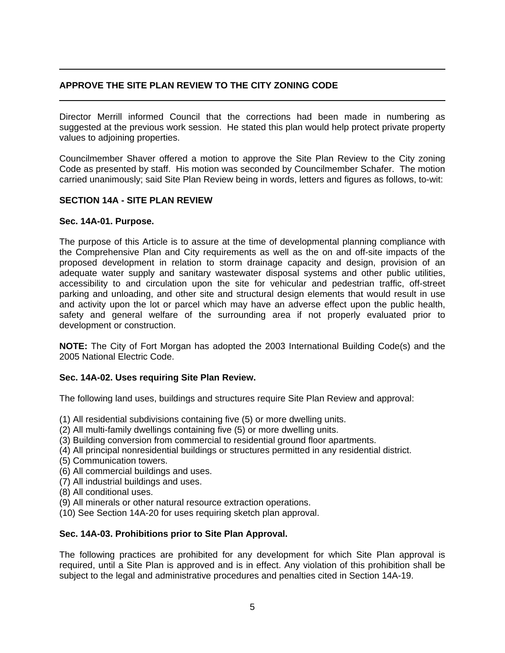# **APPROVE THE SITE PLAN REVIEW TO THE CITY ZONING CODE**

Director Merrill informed Council that the corrections had been made in numbering as suggested at the previous work session. He stated this plan would help protect private property values to adjoining properties.

Councilmember Shaver offered a motion to approve the Site Plan Review to the City zoning Code as presented by staff. His motion was seconded by Councilmember Schafer. The motion carried unanimously; said Site Plan Review being in words, letters and figures as follows, to-wit:

# **SECTION 14A - SITE PLAN REVIEW**

## **Sec. 14A-01. Purpose.**

The purpose of this Article is to assure at the time of developmental planning compliance with the Comprehensive Plan and City requirements as well as the on and off-site impacts of the proposed development in relation to storm drainage capacity and design, provision of an adequate water supply and sanitary wastewater disposal systems and other public utilities, accessibility to and circulation upon the site for vehicular and pedestrian traffic, off-street parking and unloading, and other site and structural design elements that would result in use and activity upon the lot or parcel which may have an adverse effect upon the public health, safety and general welfare of the surrounding area if not properly evaluated prior to development or construction.

**NOTE:** The City of Fort Morgan has adopted the 2003 International Building Code(s) and the 2005 National Electric Code.

## **Sec. 14A-02. Uses requiring Site Plan Review.**

The following land uses, buildings and structures require Site Plan Review and approval:

- (1) All residential subdivisions containing five (5) or more dwelling units.
- (2) All multi-family dwellings containing five (5) or more dwelling units.
- (3) Building conversion from commercial to residential ground floor apartments.
- (4) All principal nonresidential buildings or structures permitted in any residential district.
- (5) Communication towers.
- (6) All commercial buildings and uses.
- (7) All industrial buildings and uses.
- (8) All conditional uses.
- (9) All minerals or other natural resource extraction operations.
- (10) See Section 14A-20 for uses requiring sketch plan approval.

## **Sec. 14A-03. Prohibitions prior to Site Plan Approval.**

The following practices are prohibited for any development for which Site Plan approval is required, until a Site Plan is approved and is in effect. Any violation of this prohibition shall be subject to the legal and administrative procedures and penalties cited in Section 14A-19.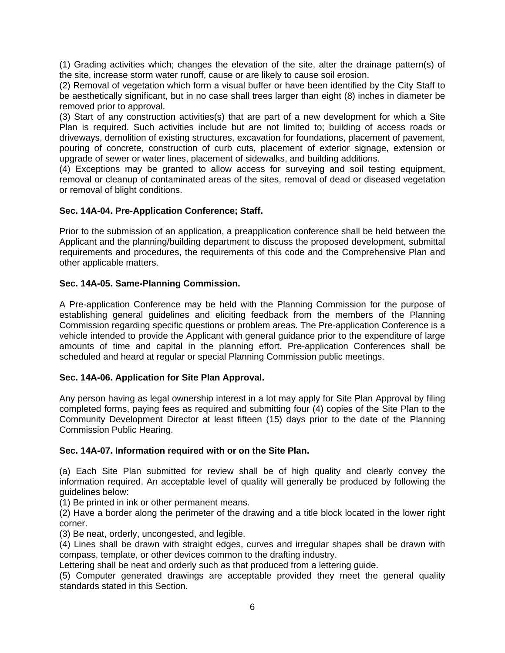(1) Grading activities which; changes the elevation of the site, alter the drainage pattern(s) of the site, increase storm water runoff, cause or are likely to cause soil erosion.

(2) Removal of vegetation which form a visual buffer or have been identified by the City Staff to be aesthetically significant, but in no case shall trees larger than eight (8) inches in diameter be removed prior to approval.

(3) Start of any construction activities(s) that are part of a new development for which a Site Plan is required. Such activities include but are not limited to; building of access roads or driveways, demolition of existing structures, excavation for foundations, placement of pavement, pouring of concrete, construction of curb cuts, placement of exterior signage, extension or upgrade of sewer or water lines, placement of sidewalks, and building additions.

(4) Exceptions may be granted to allow access for surveying and soil testing equipment, removal or cleanup of contaminated areas of the sites, removal of dead or diseased vegetation or removal of blight conditions.

## **Sec. 14A-04. Pre-Application Conference; Staff.**

Prior to the submission of an application, a preapplication conference shall be held between the Applicant and the planning/building department to discuss the proposed development, submittal requirements and procedures, the requirements of this code and the Comprehensive Plan and other applicable matters.

### **Sec. 14A-05. Same-Planning Commission.**

A Pre-application Conference may be held with the Planning Commission for the purpose of establishing general guidelines and eliciting feedback from the members of the Planning Commission regarding specific questions or problem areas. The Pre-application Conference is a vehicle intended to provide the Applicant with general guidance prior to the expenditure of large amounts of time and capital in the planning effort. Pre-application Conferences shall be scheduled and heard at regular or special Planning Commission public meetings.

#### **Sec. 14A-06. Application for Site Plan Approval.**

Any person having as legal ownership interest in a lot may apply for Site Plan Approval by filing completed forms, paying fees as required and submitting four (4) copies of the Site Plan to the Community Development Director at least fifteen (15) days prior to the date of the Planning Commission Public Hearing.

#### **Sec. 14A-07. Information required with or on the Site Plan.**

(a) Each Site Plan submitted for review shall be of high quality and clearly convey the information required. An acceptable level of quality will generally be produced by following the guidelines below:

(1) Be printed in ink or other permanent means.

(2) Have a border along the perimeter of the drawing and a title block located in the lower right corner.

(3) Be neat, orderly, uncongested, and legible.

(4) Lines shall be drawn with straight edges, curves and irregular shapes shall be drawn with compass, template, or other devices common to the drafting industry.

Lettering shall be neat and orderly such as that produced from a lettering guide.

(5) Computer generated drawings are acceptable provided they meet the general quality standards stated in this Section.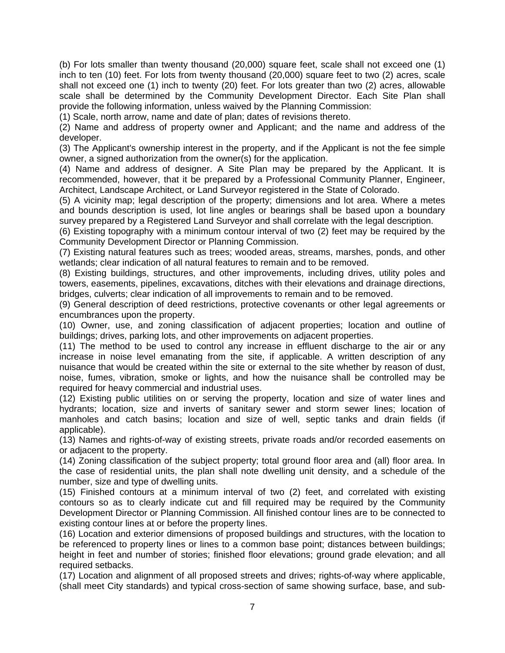(b) For lots smaller than twenty thousand (20,000) square feet, scale shall not exceed one (1) inch to ten (10) feet. For lots from twenty thousand (20,000) square feet to two (2) acres, scale shall not exceed one (1) inch to twenty (20) feet. For lots greater than two (2) acres, allowable scale shall be determined by the Community Development Director. Each Site Plan shall provide the following information, unless waived by the Planning Commission:

(1) Scale, north arrow, name and date of plan; dates of revisions thereto.

(2) Name and address of property owner and Applicant; and the name and address of the developer.

(3) The Applicant's ownership interest in the property, and if the Applicant is not the fee simple owner, a signed authorization from the owner(s) for the application.

(4) Name and address of designer. A Site Plan may be prepared by the Applicant. It is recommended, however, that it be prepared by a Professional Community Planner, Engineer, Architect, Landscape Architect, or Land Surveyor registered in the State of Colorado.

(5) A vicinity map; legal description of the property; dimensions and lot area. Where a metes and bounds description is used, lot line angles or bearings shall be based upon a boundary survey prepared by a Registered Land Surveyor and shall correlate with the legal description.

(6) Existing topography with a minimum contour interval of two (2) feet may be required by the Community Development Director or Planning Commission.

(7) Existing natural features such as trees; wooded areas, streams, marshes, ponds, and other wetlands; clear indication of all natural features to remain and to be removed.

(8) Existing buildings, structures, and other improvements, including drives, utility poles and towers, easements, pipelines, excavations, ditches with their elevations and drainage directions, bridges, culverts; clear indication of all improvements to remain and to be removed.

(9) General description of deed restrictions, protective covenants or other legal agreements or encumbrances upon the property.

(10) Owner, use, and zoning classification of adjacent properties; location and outline of buildings; drives, parking lots, and other improvements on adjacent properties.

(11) The method to be used to control any increase in effluent discharge to the air or any increase in noise level emanating from the site, if applicable. A written description of any nuisance that would be created within the site or external to the site whether by reason of dust, noise, fumes, vibration, smoke or lights, and how the nuisance shall be controlled may be required for heavy commercial and industrial uses.

(12) Existing public utilities on or serving the property, location and size of water lines and hydrants; location, size and inverts of sanitary sewer and storm sewer lines; location of manholes and catch basins; location and size of well, septic tanks and drain fields (if applicable).

(13) Names and rights-of-way of existing streets, private roads and/or recorded easements on or adjacent to the property.

(14) Zoning classification of the subject property; total ground floor area and (all) floor area. In the case of residential units, the plan shall note dwelling unit density, and a schedule of the number, size and type of dwelling units.

(15) Finished contours at a minimum interval of two (2) feet, and correlated with existing contours so as to clearly indicate cut and fill required may be required by the Community Development Director or Planning Commission. All finished contour lines are to be connected to existing contour lines at or before the property lines.

(16) Location and exterior dimensions of proposed buildings and structures, with the location to be referenced to property lines or lines to a common base point; distances between buildings; height in feet and number of stories; finished floor elevations; ground grade elevation; and all required setbacks.

(17) Location and alignment of all proposed streets and drives; rights-of-way where applicable, (shall meet City standards) and typical cross-section of same showing surface, base, and sub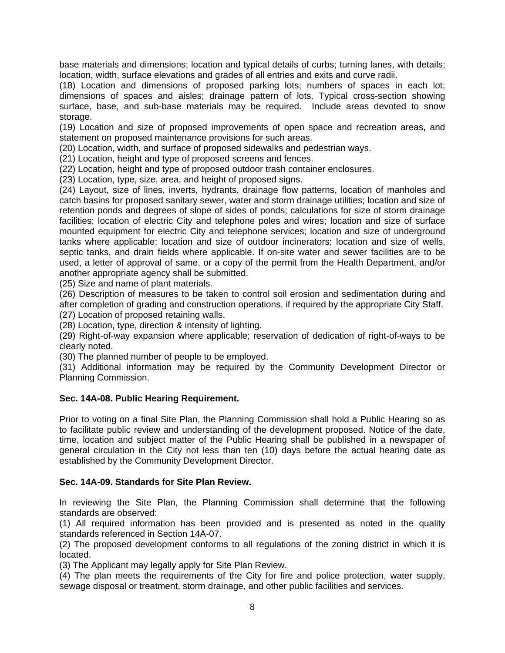base materials and dimensions; location and typical details of curbs; turning lanes, with details; location, width, surface elevations and grades of all entries and exits and curve radii.

(18) Location and dimensions of proposed parking lots; numbers of spaces in each lot; dimensions of spaces and aisles; drainage pattern of lots. Typical cross-section showing surface, base, and sub-base materials may be required. Include areas devoted to snow storage.

(19) Location and size of proposed improvements of open space and recreation areas, and statement on proposed maintenance provisions for such areas.

(20) Location, width, and surface of proposed sidewalks and pedestrian ways.

(21) Location, height and type of proposed screens and fences.

(22) Location, height and type of proposed outdoor trash container enclosures.

(23) Location, type, size, area, and height of proposed signs.

(24) Layout, size of lines, inverts, hydrants, drainage flow patterns, location of manholes and catch basins for proposed sanitary sewer, water and storm drainage utilities; location and size of retention ponds and degrees of slope of sides of ponds; calculations for size of storm drainage facilities; location of electric City and telephone poles and wires; location and size of surface mounted equipment for electric City and telephone services; location and size of underground tanks where applicable; location and size of outdoor incinerators; location and size of wells, septic tanks, and drain fields where applicable. If on-site water and sewer facilities are to be used, a letter of approval of same, or a copy of the permit from the Health Department, and/or another appropriate agency shall be submitted.

(25) Size and name of plant materials.

(26) Description of measures to be taken to control soil erosion and sedimentation during and after completion of grading and construction operations, if required by the appropriate City Staff. (27) Location of proposed retaining walls.

(28) Location, type, direction & intensity of lighting.

(29) Right-of-way expansion where applicable; reservation of dedication of right-of-ways to be clearly noted.

(30) The planned number of people to be employed.

(31) Additional information may be required by the Community Development Director or Planning Commission.

#### **Sec. 14A-08. Public Hearing Requirement.**

Prior to voting on a final Site Plan, the Planning Commission shall hold a Public Hearing so as to facilitate public review and understanding of the development proposed. Notice of the date, time, location and subject matter of the Public Hearing shall be published in a newspaper of general circulation in the City not less than ten (10) days before the actual hearing date as established by the Community Development Director.

## **Sec. 14A-09. Standards for Site Plan Review.**

In reviewing the Site Plan, the Planning Commission shall determine that the following standards are observed:

(1) All required information has been provided and is presented as noted in the quality standards referenced in Section 14A-07.

(2) The proposed development conforms to all regulations of the zoning district in which it is located.

(3) The Applicant may legally apply for Site Plan Review.

(4) The plan meets the requirements of the City for fire and police protection, water supply, sewage disposal or treatment, storm drainage, and other public facilities and services.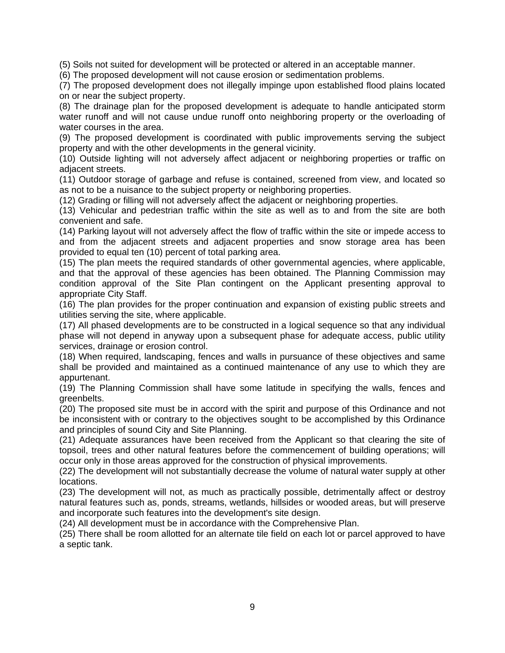(5) Soils not suited for development will be protected or altered in an acceptable manner.

(6) The proposed development will not cause erosion or sedimentation problems.

(7) The proposed development does not illegally impinge upon established flood plains located on or near the subject property.

(8) The drainage plan for the proposed development is adequate to handle anticipated storm water runoff and will not cause undue runoff onto neighboring property or the overloading of water courses in the area.

(9) The proposed development is coordinated with public improvements serving the subject property and with the other developments in the general vicinity.

(10) Outside lighting will not adversely affect adjacent or neighboring properties or traffic on adjacent streets.

(11) Outdoor storage of garbage and refuse is contained, screened from view, and located so as not to be a nuisance to the subject property or neighboring properties.

(12) Grading or filling will not adversely affect the adjacent or neighboring properties.

(13) Vehicular and pedestrian traffic within the site as well as to and from the site are both convenient and safe.

(14) Parking layout will not adversely affect the flow of traffic within the site or impede access to and from the adjacent streets and adjacent properties and snow storage area has been provided to equal ten (10) percent of total parking area.

(15) The plan meets the required standards of other governmental agencies, where applicable, and that the approval of these agencies has been obtained. The Planning Commission may condition approval of the Site Plan contingent on the Applicant presenting approval to appropriate City Staff.

(16) The plan provides for the proper continuation and expansion of existing public streets and utilities serving the site, where applicable.

(17) All phased developments are to be constructed in a logical sequence so that any individual phase will not depend in anyway upon a subsequent phase for adequate access, public utility services, drainage or erosion control.

(18) When required, landscaping, fences and walls in pursuance of these objectives and same shall be provided and maintained as a continued maintenance of any use to which they are appurtenant.

(19) The Planning Commission shall have some latitude in specifying the walls, fences and greenbelts.

(20) The proposed site must be in accord with the spirit and purpose of this Ordinance and not be inconsistent with or contrary to the objectives sought to be accomplished by this Ordinance and principles of sound City and Site Planning.

(21) Adequate assurances have been received from the Applicant so that clearing the site of topsoil, trees and other natural features before the commencement of building operations; will occur only in those areas approved for the construction of physical improvements.

(22) The development will not substantially decrease the volume of natural water supply at other locations.

(23) The development will not, as much as practically possible, detrimentally affect or destroy natural features such as, ponds, streams, wetlands, hillsides or wooded areas, but will preserve and incorporate such features into the development's site design.

(24) All development must be in accordance with the Comprehensive Plan.

(25) There shall be room allotted for an alternate tile field on each lot or parcel approved to have a septic tank.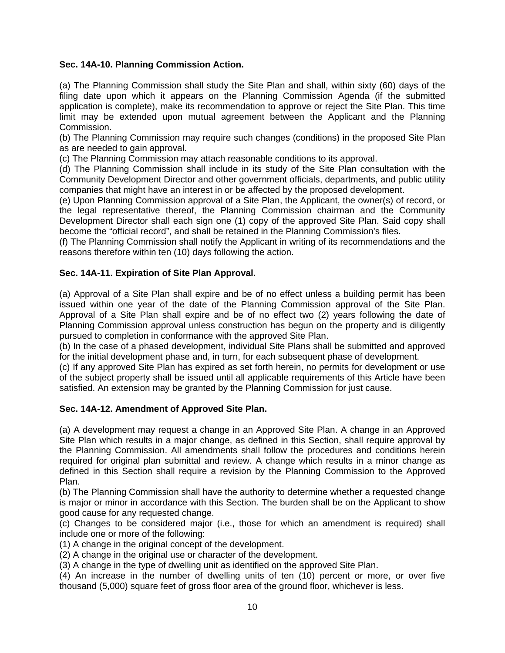# **Sec. 14A-10. Planning Commission Action.**

(a) The Planning Commission shall study the Site Plan and shall, within sixty (60) days of the filing date upon which it appears on the Planning Commission Agenda (if the submitted application is complete), make its recommendation to approve or reject the Site Plan. This time limit may be extended upon mutual agreement between the Applicant and the Planning Commission.

(b) The Planning Commission may require such changes (conditions) in the proposed Site Plan as are needed to gain approval.

(c) The Planning Commission may attach reasonable conditions to its approval.

(d) The Planning Commission shall include in its study of the Site Plan consultation with the Community Development Director and other government officials, departments, and public utility companies that might have an interest in or be affected by the proposed development.

(e) Upon Planning Commission approval of a Site Plan, the Applicant, the owner(s) of record, or the legal representative thereof, the Planning Commission chairman and the Community Development Director shall each sign one (1) copy of the approved Site Plan. Said copy shall become the "official record", and shall be retained in the Planning Commission's files.

(f) The Planning Commission shall notify the Applicant in writing of its recommendations and the reasons therefore within ten (10) days following the action.

### **Sec. 14A-11. Expiration of Site Plan Approval.**

(a) Approval of a Site Plan shall expire and be of no effect unless a building permit has been issued within one year of the date of the Planning Commission approval of the Site Plan. Approval of a Site Plan shall expire and be of no effect two (2) years following the date of Planning Commission approval unless construction has begun on the property and is diligently pursued to completion in conformance with the approved Site Plan.

(b) In the case of a phased development, individual Site Plans shall be submitted and approved for the initial development phase and, in turn, for each subsequent phase of development.

(c) If any approved Site Plan has expired as set forth herein, no permits for development or use of the subject property shall be issued until all applicable requirements of this Article have been satisfied. An extension may be granted by the Planning Commission for just cause.

## **Sec. 14A-12. Amendment of Approved Site Plan.**

(a) A development may request a change in an Approved Site Plan. A change in an Approved Site Plan which results in a major change, as defined in this Section, shall require approval by the Planning Commission. All amendments shall follow the procedures and conditions herein required for original plan submittal and review. A change which results in a minor change as defined in this Section shall require a revision by the Planning Commission to the Approved Plan.

(b) The Planning Commission shall have the authority to determine whether a requested change is major or minor in accordance with this Section. The burden shall be on the Applicant to show good cause for any requested change.

(c) Changes to be considered major (i.e., those for which an amendment is required) shall include one or more of the following:

(1) A change in the original concept of the development.

(2) A change in the original use or character of the development.

(3) A change in the type of dwelling unit as identified on the approved Site Plan.

(4) An increase in the number of dwelling units of ten (10) percent or more, or over five thousand (5,000) square feet of gross floor area of the ground floor, whichever is less.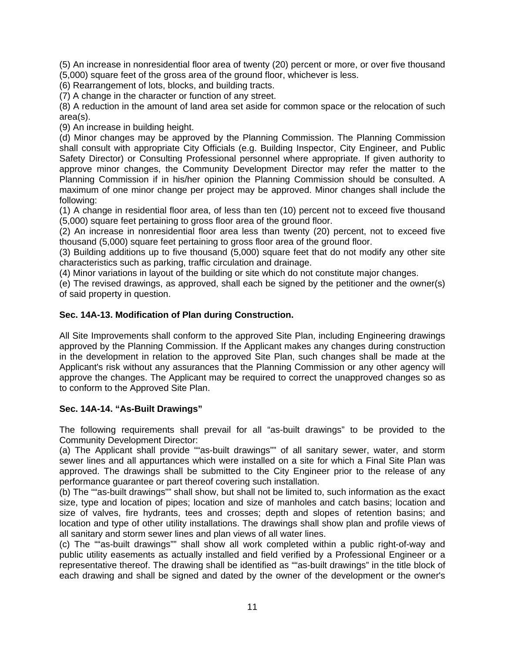(5) An increase in nonresidential floor area of twenty (20) percent or more, or over five thousand (5,000) square feet of the gross area of the ground floor, whichever is less.

(6) Rearrangement of lots, blocks, and building tracts.

(7) A change in the character or function of any street.

(8) A reduction in the amount of land area set aside for common space or the relocation of such area(s).

(9) An increase in building height.

(d) Minor changes may be approved by the Planning Commission. The Planning Commission shall consult with appropriate City Officials (e.g. Building Inspector, City Engineer, and Public Safety Director) or Consulting Professional personnel where appropriate. If given authority to approve minor changes, the Community Development Director may refer the matter to the Planning Commission if in his/her opinion the Planning Commission should be consulted. A maximum of one minor change per project may be approved. Minor changes shall include the following:

(1) A change in residential floor area, of less than ten (10) percent not to exceed five thousand (5,000) square feet pertaining to gross floor area of the ground floor.

(2) An increase in nonresidential floor area less than twenty (20) percent, not to exceed five thousand (5,000) square feet pertaining to gross floor area of the ground floor.

(3) Building additions up to five thousand (5,000) square feet that do not modify any other site characteristics such as parking, traffic circulation and drainage.

(4) Minor variations in layout of the building or site which do not constitute major changes.

(e) The revised drawings, as approved, shall each be signed by the petitioner and the owner(s) of said property in question.

### **Sec. 14A-13. Modification of Plan during Construction.**

All Site Improvements shall conform to the approved Site Plan, including Engineering drawings approved by the Planning Commission. If the Applicant makes any changes during construction in the development in relation to the approved Site Plan, such changes shall be made at the Applicant's risk without any assurances that the Planning Commission or any other agency will approve the changes. The Applicant may be required to correct the unapproved changes so as to conform to the Approved Site Plan.

#### **Sec. 14A-14. "As-Built Drawings"**

The following requirements shall prevail for all "as-built drawings" to be provided to the Community Development Director:

(a) The Applicant shall provide ""as-built drawings"" of all sanitary sewer, water, and storm sewer lines and all appurtances which were installed on a site for which a Final Site Plan was approved. The drawings shall be submitted to the City Engineer prior to the release of any performance guarantee or part thereof covering such installation.

(b) The ""as-built drawings"" shall show, but shall not be limited to, such information as the exact size, type and location of pipes; location and size of manholes and catch basins; location and size of valves, fire hydrants, tees and crosses; depth and slopes of retention basins; and location and type of other utility installations. The drawings shall show plan and profile views of all sanitary and storm sewer lines and plan views of all water lines.

(c) The ""as-built drawings"" shall show all work completed within a public right-of-way and public utility easements as actually installed and field verified by a Professional Engineer or a representative thereof. The drawing shall be identified as ""as-built drawings" in the title block of each drawing and shall be signed and dated by the owner of the development or the owner's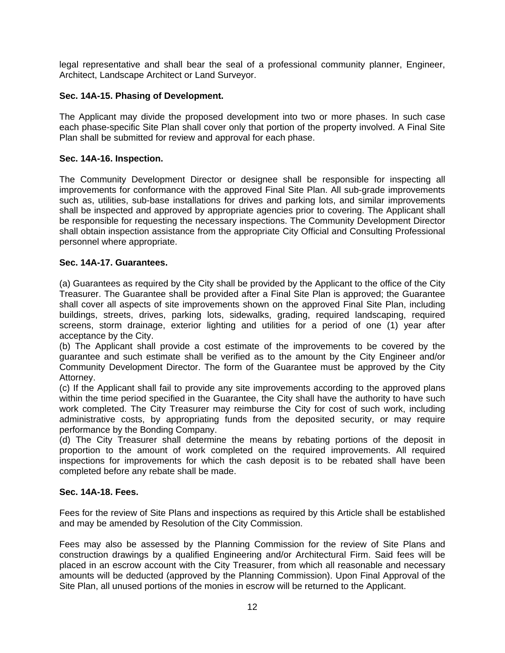legal representative and shall bear the seal of a professional community planner, Engineer, Architect, Landscape Architect or Land Surveyor.

# **Sec. 14A-15. Phasing of Development.**

The Applicant may divide the proposed development into two or more phases. In such case each phase-specific Site Plan shall cover only that portion of the property involved. A Final Site Plan shall be submitted for review and approval for each phase.

## **Sec. 14A-16. Inspection.**

The Community Development Director or designee shall be responsible for inspecting all improvements for conformance with the approved Final Site Plan. All sub-grade improvements such as, utilities, sub-base installations for drives and parking lots, and similar improvements shall be inspected and approved by appropriate agencies prior to covering. The Applicant shall be responsible for requesting the necessary inspections. The Community Development Director shall obtain inspection assistance from the appropriate City Official and Consulting Professional personnel where appropriate.

## **Sec. 14A-17. Guarantees.**

(a) Guarantees as required by the City shall be provided by the Applicant to the office of the City Treasurer. The Guarantee shall be provided after a Final Site Plan is approved; the Guarantee shall cover all aspects of site improvements shown on the approved Final Site Plan, including buildings, streets, drives, parking lots, sidewalks, grading, required landscaping, required screens, storm drainage, exterior lighting and utilities for a period of one (1) year after acceptance by the City.

(b) The Applicant shall provide a cost estimate of the improvements to be covered by the guarantee and such estimate shall be verified as to the amount by the City Engineer and/or Community Development Director. The form of the Guarantee must be approved by the City Attorney.

(c) If the Applicant shall fail to provide any site improvements according to the approved plans within the time period specified in the Guarantee, the City shall have the authority to have such work completed. The City Treasurer may reimburse the City for cost of such work, including administrative costs, by appropriating funds from the deposited security, or may require performance by the Bonding Company.

(d) The City Treasurer shall determine the means by rebating portions of the deposit in proportion to the amount of work completed on the required improvements. All required inspections for improvements for which the cash deposit is to be rebated shall have been completed before any rebate shall be made.

## **Sec. 14A-18. Fees.**

Fees for the review of Site Plans and inspections as required by this Article shall be established and may be amended by Resolution of the City Commission.

Fees may also be assessed by the Planning Commission for the review of Site Plans and construction drawings by a qualified Engineering and/or Architectural Firm. Said fees will be placed in an escrow account with the City Treasurer, from which all reasonable and necessary amounts will be deducted (approved by the Planning Commission). Upon Final Approval of the Site Plan, all unused portions of the monies in escrow will be returned to the Applicant.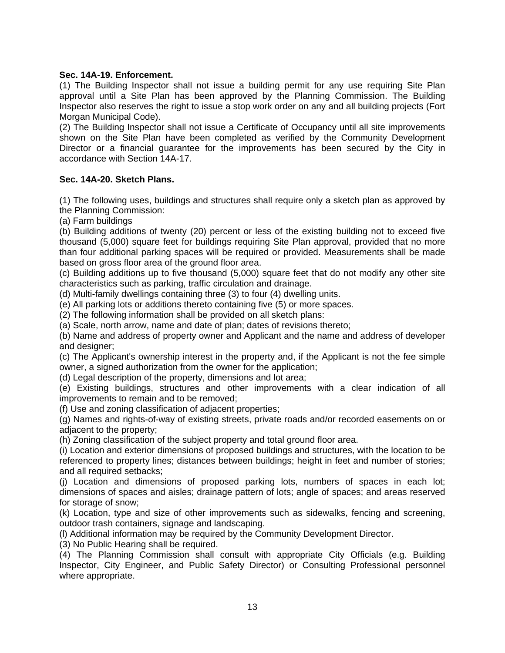## **Sec. 14A-19. Enforcement.**

(1) The Building Inspector shall not issue a building permit for any use requiring Site Plan approval until a Site Plan has been approved by the Planning Commission. The Building Inspector also reserves the right to issue a stop work order on any and all building projects (Fort Morgan Municipal Code).

(2) The Building Inspector shall not issue a Certificate of Occupancy until all site improvements shown on the Site Plan have been completed as verified by the Community Development Director or a financial guarantee for the improvements has been secured by the City in accordance with Section 14A-17.

## **Sec. 14A-20. Sketch Plans.**

(1) The following uses, buildings and structures shall require only a sketch plan as approved by the Planning Commission:

(a) Farm buildings

(b) Building additions of twenty (20) percent or less of the existing building not to exceed five thousand (5,000) square feet for buildings requiring Site Plan approval, provided that no more than four additional parking spaces will be required or provided. Measurements shall be made based on gross floor area of the ground floor area.

(c) Building additions up to five thousand (5,000) square feet that do not modify any other site characteristics such as parking, traffic circulation and drainage.

(d) Multi-family dwellings containing three (3) to four (4) dwelling units.

(e) All parking lots or additions thereto containing five (5) or more spaces.

(2) The following information shall be provided on all sketch plans:

(a) Scale, north arrow, name and date of plan; dates of revisions thereto;

(b) Name and address of property owner and Applicant and the name and address of developer and designer;

(c) The Applicant's ownership interest in the property and, if the Applicant is not the fee simple owner, a signed authorization from the owner for the application;

(d) Legal description of the property, dimensions and lot area;

(e) Existing buildings, structures and other improvements with a clear indication of all improvements to remain and to be removed;

(f) Use and zoning classification of adjacent properties;

(g) Names and rights-of-way of existing streets, private roads and/or recorded easements on or adjacent to the property;

(h) Zoning classification of the subject property and total ground floor area.

(i) Location and exterior dimensions of proposed buildings and structures, with the location to be referenced to property lines; distances between buildings; height in feet and number of stories; and all required setbacks;

(j) Location and dimensions of proposed parking lots, numbers of spaces in each lot; dimensions of spaces and aisles; drainage pattern of lots; angle of spaces; and areas reserved for storage of snow;

(k) Location, type and size of other improvements such as sidewalks, fencing and screening, outdoor trash containers, signage and landscaping.

(l) Additional information may be required by the Community Development Director.

(3) No Public Hearing shall be required.

(4) The Planning Commission shall consult with appropriate City Officials (e.g. Building Inspector, City Engineer, and Public Safety Director) or Consulting Professional personnel where appropriate.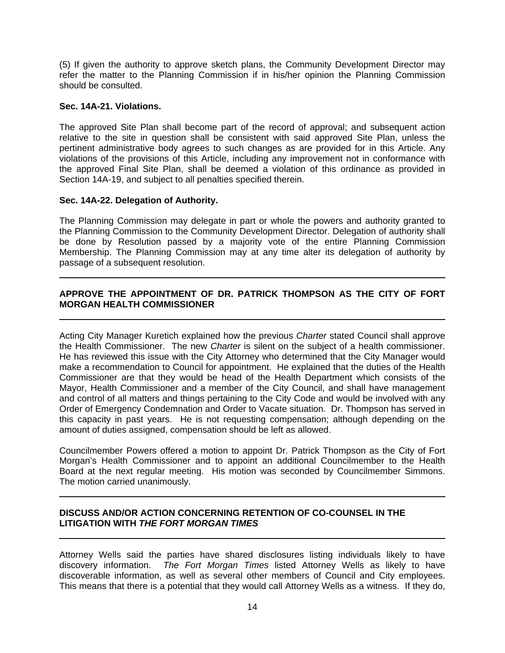(5) If given the authority to approve sketch plans, the Community Development Director may refer the matter to the Planning Commission if in his/her opinion the Planning Commission should be consulted.

### **Sec. 14A-21. Violations.**

The approved Site Plan shall become part of the record of approval; and subsequent action relative to the site in question shall be consistent with said approved Site Plan, unless the pertinent administrative body agrees to such changes as are provided for in this Article. Any violations of the provisions of this Article, including any improvement not in conformance with the approved Final Site Plan, shall be deemed a violation of this ordinance as provided in Section 14A-19, and subject to all penalties specified therein.

### **Sec. 14A-22. Delegation of Authority.**

The Planning Commission may delegate in part or whole the powers and authority granted to the Planning Commission to the Community Development Director. Delegation of authority shall be done by Resolution passed by a majority vote of the entire Planning Commission Membership. The Planning Commission may at any time alter its delegation of authority by passage of a subsequent resolution.

# **APPROVE THE APPOINTMENT OF DR. PATRICK THOMPSON AS THE CITY OF FORT MORGAN HEALTH COMMISSIONER**

Acting City Manager Kuretich explained how the previous *Charter* stated Council shall approve the Health Commissioner. The new *Charter* is silent on the subject of a health commissioner. He has reviewed this issue with the City Attorney who determined that the City Manager would make a recommendation to Council for appointment. He explained that the duties of the Health Commissioner are that they would be head of the Health Department which consists of the Mayor, Health Commissioner and a member of the City Council, and shall have management and control of all matters and things pertaining to the City Code and would be involved with any Order of Emergency Condemnation and Order to Vacate situation. Dr. Thompson has served in this capacity in past years. He is not requesting compensation; although depending on the amount of duties assigned, compensation should be left as allowed.

Councilmember Powers offered a motion to appoint Dr. Patrick Thompson as the City of Fort Morgan's Health Commissioner and to appoint an additional Councilmember to the Health Board at the next regular meeting. His motion was seconded by Councilmember Simmons. The motion carried unanimously.

### **DISCUSS AND/OR ACTION CONCERNING RETENTION OF CO-COUNSEL IN THE LITIGATION WITH** *THE FORT MORGAN TIMES*

Attorney Wells said the parties have shared disclosures listing individuals likely to have discovery information. *The Fort Morgan Times* listed Attorney Wells as likely to have discoverable information, as well as several other members of Council and City employees. This means that there is a potential that they would call Attorney Wells as a witness. If they do,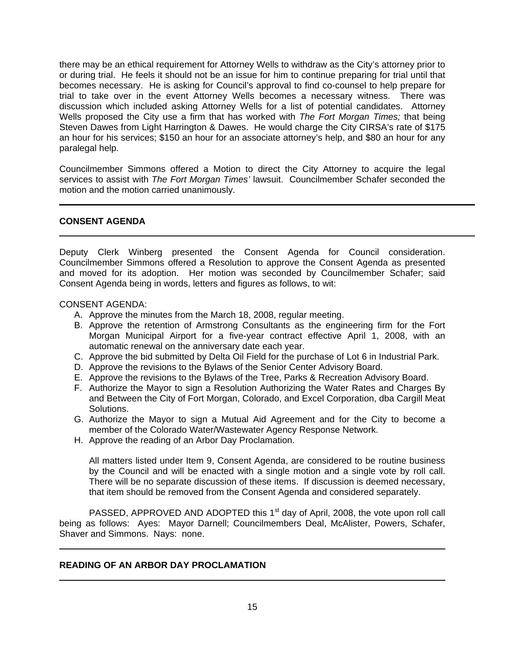there may be an ethical requirement for Attorney Wells to withdraw as the City's attorney prior to or during trial. He feels it should not be an issue for him to continue preparing for trial until that becomes necessary. He is asking for Council's approval to find co-counsel to help prepare for trial to take over in the event Attorney Wells becomes a necessary witness. There was discussion which included asking Attorney Wells for a list of potential candidates. Attorney Wells proposed the City use a firm that has worked with *The Fort Morgan Times;* that being Steven Dawes from Light Harrington & Dawes. He would charge the City CIRSA's rate of \$175 an hour for his services; \$150 an hour for an associate attorney's help, and \$80 an hour for any paralegal help.

Councilmember Simmons offered a Motion to direct the City Attorney to acquire the legal services to assist with *The Fort Morgan Times'* lawsuit. Councilmember Schafer seconded the motion and the motion carried unanimously.

### **CONSENT AGENDA**

Deputy Clerk Winberg presented the Consent Agenda for Council consideration. Councilmember Simmons offered a Resolution to approve the Consent Agenda as presented and moved for its adoption. Her motion was seconded by Councilmember Schafer; said Consent Agenda being in words, letters and figures as follows, to wit:

#### CONSENT AGENDA:

- A. Approve the minutes from the March 18, 2008, regular meeting.
- B. Approve the retention of Armstrong Consultants as the engineering firm for the Fort Morgan Municipal Airport for a five-year contract effective April 1, 2008, with an automatic renewal on the anniversary date each year.
- C. Approve the bid submitted by Delta Oil Field for the purchase of Lot 6 in Industrial Park.
- D. Approve the revisions to the Bylaws of the Senior Center Advisory Board.
- E. Approve the revisions to the Bylaws of the Tree, Parks & Recreation Advisory Board.
- F. Authorize the Mayor to sign a Resolution Authorizing the Water Rates and Charges By and Between the City of Fort Morgan, Colorado, and Excel Corporation, dba Cargill Meat Solutions.
- G. Authorize the Mayor to sign a Mutual Aid Agreement and for the City to become a member of the Colorado Water/Wastewater Agency Response Network.
- H. Approve the reading of an Arbor Day Proclamation.

All matters listed under Item 9, Consent Agenda, are considered to be routine business by the Council and will be enacted with a single motion and a single vote by roll call. There will be no separate discussion of these items. If discussion is deemed necessary, that item should be removed from the Consent Agenda and considered separately.

PASSED, APPROVED AND ADOPTED this 1<sup>st</sup> day of April, 2008, the vote upon roll call being as follows: Ayes: Mayor Darnell; Councilmembers Deal, McAlister, Powers, Schafer, Shaver and Simmons. Nays: none.

#### **READING OF AN ARBOR DAY PROCLAMATION**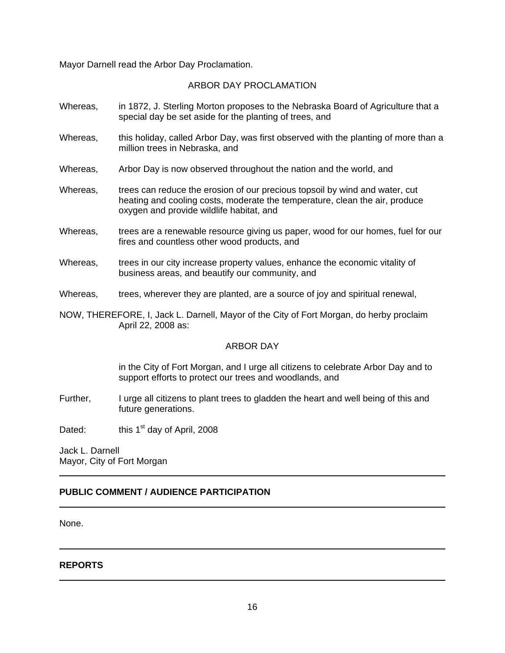Mayor Darnell read the Arbor Day Proclamation.

### ARBOR DAY PROCLAMATION

- Whereas, in 1872, J. Sterling Morton proposes to the Nebraska Board of Agriculture that a special day be set aside for the planting of trees, and
- Whereas, this holiday, called Arbor Day, was first observed with the planting of more than a million trees in Nebraska, and
- Whereas, Arbor Day is now observed throughout the nation and the world, and
- Whereas, trees can reduce the erosion of our precious topsoil by wind and water, cut heating and cooling costs, moderate the temperature, clean the air, produce oxygen and provide wildlife habitat, and
- Whereas, trees are a renewable resource giving us paper, wood for our homes, fuel for our fires and countless other wood products, and
- Whereas, trees in our city increase property values, enhance the economic vitality of business areas, and beautify our community, and
- Whereas, trees, wherever they are planted, are a source of joy and spiritual renewal,
- NOW, THEREFORE, I, Jack L. Darnell, Mayor of the City of Fort Morgan, do herby proclaim April 22, 2008 as:

#### ARBOR DAY

in the City of Fort Morgan, and I urge all citizens to celebrate Arbor Day and to support efforts to protect our trees and woodlands, and

- Further, I urge all citizens to plant trees to gladden the heart and well being of this and future generations.
- Dated: this  $1<sup>st</sup>$  day of April, 2008

Jack L. Darnell Mayor, City of Fort Morgan

# **PUBLIC COMMENT / AUDIENCE PARTICIPATION**

None.

**REPORTS**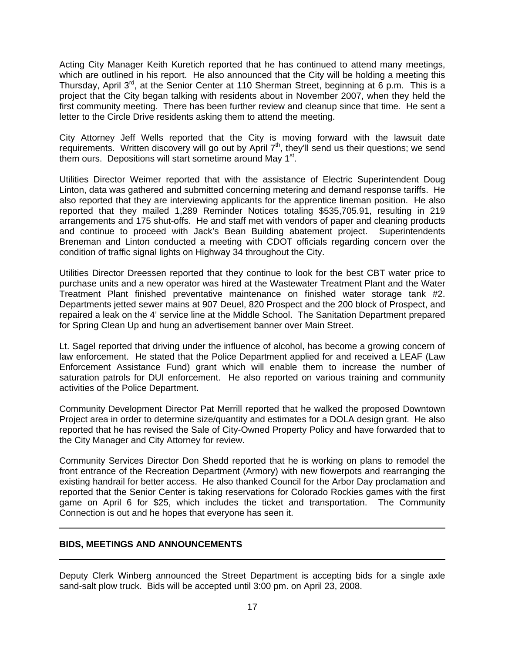Acting City Manager Keith Kuretich reported that he has continued to attend many meetings, which are outlined in his report. He also announced that the City will be holding a meeting this Thursday, April 3<sup>rd</sup>, at the Senior Center at 110 Sherman Street, beginning at 6 p.m. This is a project that the City began talking with residents about in November 2007, when they held the first community meeting. There has been further review and cleanup since that time. He sent a letter to the Circle Drive residents asking them to attend the meeting.

City Attorney Jeff Wells reported that the City is moving forward with the lawsuit date requirements. Written discovery will go out by April 7<sup>th</sup>, they'll send us their questions; we send them ours. Depositions will start sometime around May  $1<sup>st</sup>$ .

Utilities Director Weimer reported that with the assistance of Electric Superintendent Doug Linton, data was gathered and submitted concerning metering and demand response tariffs. He also reported that they are interviewing applicants for the apprentice lineman position. He also reported that they mailed 1,289 Reminder Notices totaling \$535,705.91, resulting in 219 arrangements and 175 shut-offs. He and staff met with vendors of paper and cleaning products and continue to proceed with Jack's Bean Building abatement project. Superintendents Breneman and Linton conducted a meeting with CDOT officials regarding concern over the condition of traffic signal lights on Highway 34 throughout the City.

Utilities Director Dreessen reported that they continue to look for the best CBT water price to purchase units and a new operator was hired at the Wastewater Treatment Plant and the Water Treatment Plant finished preventative maintenance on finished water storage tank #2. Departments jetted sewer mains at 907 Deuel, 820 Prospect and the 200 block of Prospect, and repaired a leak on the 4' service line at the Middle School. The Sanitation Department prepared for Spring Clean Up and hung an advertisement banner over Main Street.

Lt. Sagel reported that driving under the influence of alcohol, has become a growing concern of law enforcement. He stated that the Police Department applied for and received a LEAF (Law Enforcement Assistance Fund) grant which will enable them to increase the number of saturation patrols for DUI enforcement. He also reported on various training and community activities of the Police Department.

Community Development Director Pat Merrill reported that he walked the proposed Downtown Project area in order to determine size/quantity and estimates for a DOLA design grant. He also reported that he has revised the Sale of City-Owned Property Policy and have forwarded that to the City Manager and City Attorney for review.

Community Services Director Don Shedd reported that he is working on plans to remodel the front entrance of the Recreation Department (Armory) with new flowerpots and rearranging the existing handrail for better access. He also thanked Council for the Arbor Day proclamation and reported that the Senior Center is taking reservations for Colorado Rockies games with the first game on April 6 for \$25, which includes the ticket and transportation. The Community Connection is out and he hopes that everyone has seen it.

## **BIDS, MEETINGS AND ANNOUNCEMENTS**

Deputy Clerk Winberg announced the Street Department is accepting bids for a single axle sand-salt plow truck. Bids will be accepted until 3:00 pm. on April 23, 2008.